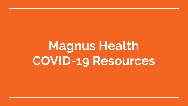# Magnus Health **COVID-19 Resources**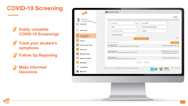#### **COVID-19 Screening**

- $\sum$ **Easily complete COVID-19 Screenings**
- **Track your student's**   $\nabla$ **symptoms**
- **Follow Up Reporting**

**Make Informed Decisions**

|                                    | Treatment Notes                                                                      |   |                                       |                                                                |                             |  |
|------------------------------------|--------------------------------------------------------------------------------------|---|---------------------------------------|----------------------------------------------------------------|-----------------------------|--|
|                                    |                                                                                      |   |                                       |                                                                | Insights                    |  |
| Welcome.<br><b>Scott DAnnunzio</b> |                                                                                      |   |                                       |                                                                |                             |  |
| 53<br>Need Help?                   | All Students                                                                         | À | Last 30 days                          | ۰                                                              |                             |  |
|                                    | Fever                                                                                | ٠ | COVID-19 Screening Template           | ٠                                                              |                             |  |
| Quick Search                       | Enter keyword to search                                                              |   | All Users                             | ٠                                                              |                             |  |
| <b>Treatment Notes</b>             | Completed Notes Only                                                                 | ٠ |                                       |                                                                |                             |  |
| My Drafts: 0                       |                                                                                      |   | <b>Search Treatment Notes</b>         |                                                                | Cancel                      |  |
| Check In                           | Expand All Collapse All                                                              |   |                                       |                                                                | <b>Print Page</b>           |  |
| <b>Student Health Tracker</b>      | <b>Scott D'Annunzio</b><br>by Scott DAnnunzio - Monday 05/18/2020 10:33 AM (15 mins) |   |                                       | COVID-19 Screening Template                                    |                             |  |
| <b>Smart Lists</b>                 |                                                                                      |   |                                       |                                                                |                             |  |
| <b>Medication Orders</b>           | Scott D'Annunzio<br>by Kerri Wade -- Wednesday 05/06/2020 3:05 PM (15 mins)          |   |                                       | Share with parents - Send Email<br>COVID-19 Screening Template |                             |  |
| <b>Medication Schedule</b>         | <b>Scott D'Annunzio</b><br>by Kerri Wade -- Monday 05/04/2020 2:08 PM (15 mins)      |   |                                       | COVID-19 Screening Template v                                  |                             |  |
| <b>MAR Report</b>                  |                                                                                      |   | Prov 1 West                           |                                                                |                             |  |
| Immunizations                      | SECURE AREA @ 2005-2020 Magnus Health Technology, All Rights Reserved.               |   |                                       | <b>TRUSTe</b>                                                  | <b>HIPAA</b> Privacy Policy |  |
| Magnus 911                         |                                                                                      |   | <b>ETUDENT</b><br>PLEDGE<br>$\bullet$ | Contified Privacy<br>Powered by TrustAre                       |                             |  |
|                                    |                                                                                      |   |                                       |                                                                |                             |  |

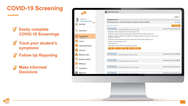#### **COVID-19 Screening**

- **Easily complete COVID-19 Screenings**
- **Track your student's symptoms**
- **Follow Up Reporting**

**Make Informed Decisions**



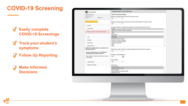#### **COVID-19 Screening**

- **Easily complete**   $\nabla$ **COVID-19 Screenings**
- **Track your student's**   $\nabla$ **symptoms**
- **Follow Up Reporting**

**Make Informed Decisions**

| œ<br><b>User Details</b>                                                        | Treatment Note for Scott D'Annunzio                                               |               |
|---------------------------------------------------------------------------------|-----------------------------------------------------------------------------------|---------------|
| Scott D'Annunzio »                                                              | COVID-19 Screening Template                                                       |               |
| DOB: 05/17/2005                                                                 | Student has traveled outside of the US in the last 30 days                        |               |
| Height: N/A<br>Weight: N/A                                                      | <b>No</b><br>۰                                                                    |               |
|                                                                                 |                                                                                   |               |
| Class of 2021 (Junior)                                                          | Student has made contact with someone with confirmed COVID-19 in the last 14 days |               |
|                                                                                 | Yes<br>$\pmb{\mathrm{v}}$                                                         |               |
| Groups                                                                          |                                                                                   |               |
|                                                                                 | Symptoms Checklist - Symptoms may appear 2-14 days after exposure to the virus.   |               |
| -Clinic Alerts                                                                  | Cough                                                                             |               |
|                                                                                 | Shortness of breath or difficulty breathing                                       |               |
| Scott has a history of heart complications.                                     | Fever<br>Chills                                                                   |               |
|                                                                                 | Muscle Pain                                                                       |               |
|                                                                                 | Headache                                                                          |               |
| $\frac{1}{2}$ OTC                                                               | Sore throat                                                                       |               |
|                                                                                 | New loss of taste or smell                                                        |               |
| Allergies                                                                       | Confusion (new or worsening)<br>Dizziness or lightheadedness                      |               |
| Medications                                                                     | Vomiting or diarrhea                                                              |               |
|                                                                                 | Other                                                                             |               |
| -Medical History                                                                | None                                                                              | $\frac{1}{2}$ |
| Student has answered yes or unknown to the                                      |                                                                                   |               |
| following questions                                                             | Student has cough or shortness of breath combined with at least 2 other symptoms  |               |
|                                                                                 | Yes<br>۷.                                                                         |               |
| Do you cough, wheeze, or have difficulty<br>breathing during or after exercise? |                                                                                   |               |
|                                                                                 | Student's current temperature                                                     |               |
| Yes: Scott has a history of asthma and chronic                                  | 瓃<br>101.2                                                                        |               |
| lung disease                                                                    |                                                                                   |               |
|                                                                                 | Fever Present                                                                     |               |
| Treatment Notes                                                                 | Yes.<br>۰.                                                                        |               |
|                                                                                 |                                                                                   |               |
| - <b>Emergency Contacts</b>                                                     | Action Taken                                                                      |               |
|                                                                                 | Parents notified                                                                  | $\sim$        |
|                                                                                 | Primary physician notified                                                        |               |
|                                                                                 | Sent to hospital<br>State department of health notified                           |               |
|                                                                                 | Returned to class                                                                 |               |
|                                                                                 |                                                                                   |               |

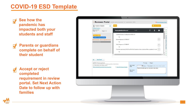#### **COVID-19 ESD Template**



**See how the pandemic has impacted both your students and staff**

**Parents or guardians complete on behalf of their student**

**Accept or reject completed requirement in review portal. Set Next Action Date to follow up with families**



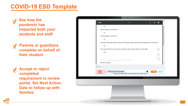#### **COVID-19 ESD Template**



**See how the pandemic has impacted both your students and staff**

**Parents or guardians complete on behalf of their student**

**Accept or reject completed requirement in review portal. Set Next Action Date to follow up with families**

| <b>ESign</b>                    | 1/1                                                                                                      | $\circ$ | 土           | $\ddot{\bullet}$                    |
|---------------------------------|----------------------------------------------------------------------------------------------------------|---------|-------------|-------------------------------------|
| No                              |                                                                                                          |         |             |                                     |
| Known Exposure to COVID-19?     |                                                                                                          |         |             |                                     |
| No                              |                                                                                                          |         |             |                                     |
| Likely Exposure to COVID-19?    |                                                                                                          |         |             |                                     |
| No                              |                                                                                                          |         |             |                                     |
|                                 | Currently experiencing Cold, Fever/Flu-Like Symptoms or have experienced these symptoms in recent weeks? |         |             |                                     |
| No                              |                                                                                                          |         |             |                                     |
|                                 | If you answered Yes to any of the above questions, please explain to the best of your ability            |         |             | $\stackrel{\leftrightarrow}{\cdot}$ |
| N/A                             |                                                                                                          |         |             |                                     |
|                                 |                                                                                                          |         |             | $^{+}$                              |
|                                 |                                                                                                          |         |             | $\equiv$                            |
| Your Signature three            |                                                                                                          |         |             |                                     |
| Electronic Signature            |                                                                                                          |         |             |                                     |
| $\langle$ Back                  |                                                                                                          |         |             |                                     |
| <b>Sign</b><br>Patricia Kessler | ų,                                                                                                       |         | <b>Sign</b> | Cancel                              |
| Here                            | To sign this document enter your name and press the "Sign" button.                                       |         |             |                                     |
|                                 |                                                                                                          |         |             |                                     |
|                                 |                                                                                                          |         |             |                                     |
|                                 |                                                                                                          |         |             |                                     |
|                                 |                                                                                                          |         |             |                                     |
|                                 |                                                                                                          |         |             |                                     |
|                                 |                                                                                                          |         |             |                                     |
|                                 |                                                                                                          |         |             |                                     |
|                                 |                                                                                                          |         |             |                                     |

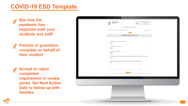#### **COVID-19 ESD Template**



**See how the pandemic has impacted both your students and staff**

**Parents or guardians complete on behalf of their student**

**Accept or reject completed requirement in review portal. Set Next Action Date to follow up with families**



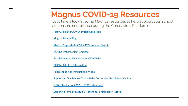### **Magnus COVID-19 Resources**

Let's take a look at some Magnus resources to help support your school and ensure compliance during the Coronavirus Pandemic

[Magnus Health COVID-19 Resource Page](https://magnushealth.com/covid19-resources/)

[Magnus Health Blog](https://web.magnushealth.com/insights/all)

[Magnus Suggested COVID-19 Survey for Parents](http://training.magnushealth.com/wp-content/uploads/COVID19_ESDTemplate.pdf?utm_campaign=Webinar%20Wednesday%202020&utm_source=hs_email&utm_medium=email&utm_content=85371769&_hsenc=p2ANqtz---0wtS4XyRuSdNSMDKZ9lcDZ6adgsNikzeDQmHObu140NETtX8sCnPGhdivG0vFKjqhW6hxv4Xctwfp_PTZ4Gy98fsiRcKuaYlJuwrIIBOVAaMNBQ&_hsmi=85371769)

[COVID-19 Screening Template](http://training.magnushealth.com/wp-content/uploads/COVID-19-Screening-Template-Example.pdf)

[Email Reminder Sensitivity for COVID-19](https://drive.google.com/file/d/1SKTuYtGpqX7osjBJu6AZcZ90EAPDXU8V/view?usp=sharing)

[PHR Mobile App Information](https://drive.google.com/file/d/1TFmRr5Vebs9XeuZ8FCkzqat_epix7WZ1/view?usp=sharing)

[PHR Mobile App Instructional Video](https://magnushealthportal.wistia.com/medias/ca5sa2mjga)

[Supporting Our Schools Through the Coronavirus Pandemic Webinar](https://info.magnushealth.com/2020-supporting-our-schools-coronavirus-pandemic)

[Setting Up Parent COVID-19 Questionnaire](https://magnushealthportal.wistia.com/medias/63gbu1l7un)

[Screening Template Setup & Reporting Functionality Tutorial](https://magnushealthportal.wistia.com/medias/rlivi9jimm)